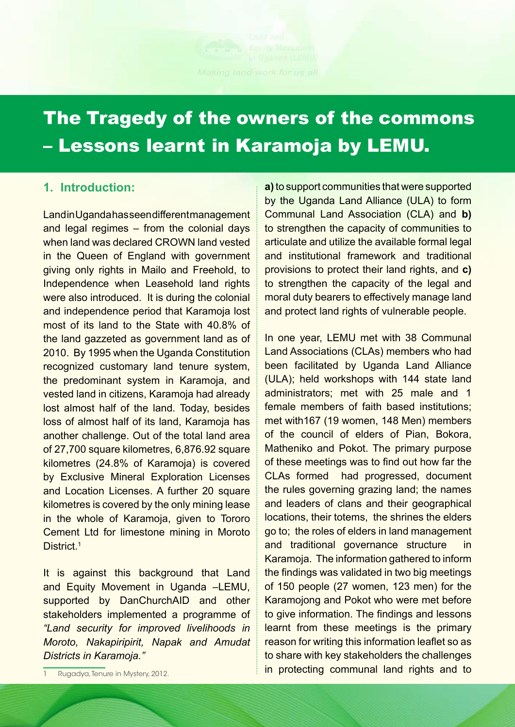# The Tragedy of the owners of the commons – Lessons learnt in Karamoja by LEMU.

## **1. Introduction:**

Land in Uganda has seen different management and legal regimes – from the colonial days when land was declared CROWN land vested in the Queen of England with government giving only rights in Mailo and Freehold, to Independence when Leasehold land rights were also introduced. It is during the colonial and independence period that Karamoja lost most of its land to the State with 40.8% of the land gazzeted as government land as of 2010. By 1995 when the Uganda Constitution recognized customary land tenure system, the predominant system in Karamoja, and vested land in citizens, Karamoja had already lost almost half of the land. Today, besides loss of almost half of its land, Karamoja has another challenge. Out of the total land area of 27,700 square kilometres, 6,876.92 square kilometres (24.8% of Karamoja) is covered by Exclusive Mineral Exploration Licenses and Location Licenses. A further 20 square kilometres is covered by the only mining lease in the whole of Karamoja, given to Tororo Cement Ltd for limestone mining in Moroto District.<sup>1</sup>

Land and *Districts in Karamoja."* It is against this background that Land and Equity Movement in Uganda –LEMU, supported by DanChurchAID and other stakeholders implemented a programme of *"Land security for improved livelihoods in Moroto, Nakapiripirit, Napak and Amudat* 

> Plot 4, Close 13-8th Street, Industrial Area, Namwongo Road

Tanura in Must 1 Rugadya, Tenure in Mystery, 2012. **a)** to support communities that were supported by the Uganda Land Alliance (ULA) to form Communal Land Association (CLA) and **b)**  to strengthen the capacity of communities to articulate and utilize the available formal legal and institutional framework and traditional provisions to protect their land rights, and **c)**  to strengthen the capacity of the legal and moral duty bearers to effectively manage land and protect land rights of vulnerable people.

**E in protecting communal land rights and to** For more information please contact to share with key stakeholders the challenges In one year, LEMU met with 38 Communal Land Associations (CLAs) members who had been facilitated by Uganda Land Alliance (ULA); held workshops with 144 state land administrators; met with 25 male and 1 female members of faith based institutions; met with167 (19 women, 148 Men) members of the council of elders of Pian, Bokora, Matheniko and Pokot. The primary purpose of these meetings was to find out how far the CLAs formed had progressed, document the rules governing grazing land; the names and leaders of clans and their geographical locations, their totems, the shrines the elders go to; the roles of elders in land management and traditional governance structure in Karamoja. The information gathered to inform the findings was validated in two big meetings of 150 people (27 women, 123 men) for the Karamojong and Pokot who were met before to give information. The findings and lessons learnt from these meetings is the primary reason for writing this information leaflet so as

: 0772 856 212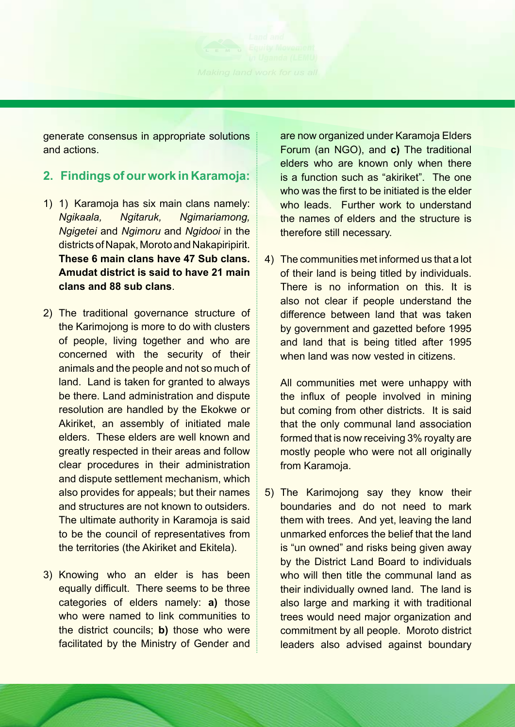generate consensus in appropriate solutions and actions.

## **2. Findings of our work in Karamoja:**

- 1) 1) Karamoja has six main clans namely: *Ngikaala, Ngitaruk, Ngimariamong, Ngigetei* and *Ngimoru* and *Ngidooi* in the districts of Napak, Moroto and Nakapiripirit. **These 6 main clans have 47 Sub clans. Amudat district is said to have 21 main clans and 88 sub clans**.
- 2) The traditional governance structure of the Karimojong is more to do with clusters of people, living together and who are concerned with the security of their animals and the people and not so much of land. Land is taken for granted to always be there. Land administration and dispute resolution are handled by the Ekokwe or Akiriket, an assembly of initiated male elders. These elders are well known and greatly respected in their areas and follow clear procedures in their administration and dispute settlement mechanism, which also provides for appeals; but their names and structures are not known to outsiders. The ultimate authority in Karamoja is said to be the council of representatives from the territories (the Akiriket and Ekitela).
- 3) Knowing who an elder is has been equally difficult. There seems to be three categories of elders namely: **a)** those who were named to link communities to the district councils; **b)** those who were facilitated by the Ministry of Gender and

For more information please contact

Industrial Area, Namwongo Road

are now organized under Karamoja Elders Forum (an NGO), and **c)** The traditional elders who are known only when there is a function such as "akiriket". The one who was the first to be initiated is the elder who leads. Further work to understand the names of elders and the structure is therefore still necessary.

4) The communities met informed us that a lot of their land is being titled by individuals. There is no information on this. It is also not clear if people understand the difference between land that was taken by government and gazetted before 1995 and land that is being titled after 1995 when land was now vested in citizens.

All communities met were unhappy with the influx of people involved in mining but coming from other districts. It is said that the only communal land association formed that is now receiving 3% royalty are mostly people who were not all originally from Karamoja.

5) The Karimojong say they know their boundaries and do not need to mark them with trees. And yet, leaving the land unmarked enforces the belief that the land is "un owned" and risks being given away by the District Land Board to individuals who will then title the communal land as their individually owned land. The land is also large and marking it with traditional trees would need major organization and commitment by all people. Moroto district leaders also advised against boundary

: 0772 856 212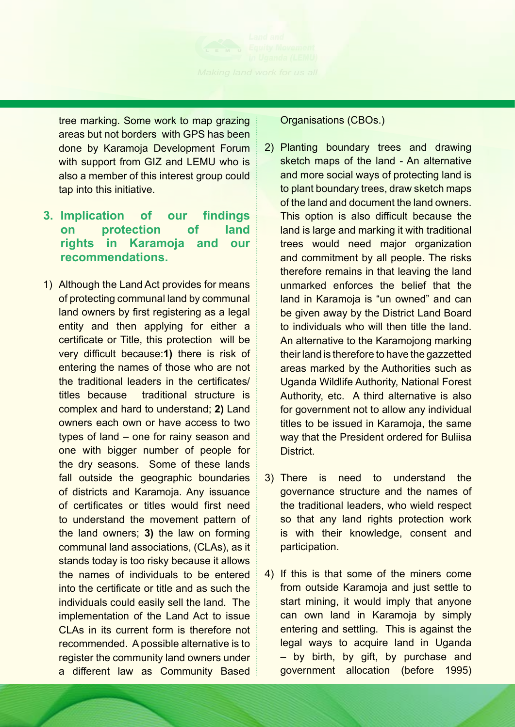tree marking. Some work to map grazing areas but not borders with GPS has been done by Karamoja Development Forum with support from GIZ and LEMU who is also a member of this interest group could tap into this initiative.

#### **3. Implication of our findings on protection of land rights in Karamoja and our recommendations.**

1) Although the Land Act provides for means of protecting communal land by communal land owners by first registering as a legal entity and then applying for either a certificate or Title, this protection will be very difficult because:**1)** there is risk of entering the names of those who are not the traditional leaders in the certificates/ titles because traditional structure is complex and hard to understand; **2)** Land owners each own or have access to two types of land – one for rainy season and one with bigger number of people for the dry seasons. Some of these lands fall outside the geographic boundaries of districts and Karamoja. Any issuance of certificates or titles would first need to understand the movement pattern of the land owners; **3)** the law on forming communal land associations, (CLAs), as it stands today is too risky because it allows the names of individuals to be entered into the certificate or title and as such the individuals could easily sell the land. The implementation of the Land Act to issue CLAs in its current form is therefore not recommended. A possible alternative is to register the community land owners under a different law as Community Based Organisations (CBOs.)

- 2) Planting boundary trees and drawing sketch maps of the land - An alternative and more social ways of protecting land is to plant boundary trees, draw sketch maps of the land and document the land owners. This option is also difficult because the land is large and marking it with traditional trees would need major organization and commitment by all people. The risks therefore remains in that leaving the land unmarked enforces the belief that the land in Karamoja is "un owned" and can be given away by the District Land Board to individuals who will then title the land. An alternative to the Karamojong marking their land is therefore to have the gazzetted areas marked by the Authorities such as Uganda Wildlife Authority, National Forest Authority, etc. A third alternative is also for government not to allow any individual titles to be issued in Karamoja, the same way that the President ordered for Buliisa **District**
- 3) There is need to understand the governance structure and the names of the traditional leaders, who wield respect so that any land rights protection work is with their knowledge, consent and participation.
- 4) If this is that some of the miners come from outside Karamoja and just settle to start mining, it would imply that anyone can own land in Karamoja by simply entering and settling. This is against the legal ways to acquire land in Uganda – by birth, by gift, by purchase and government allocation (before 1995)